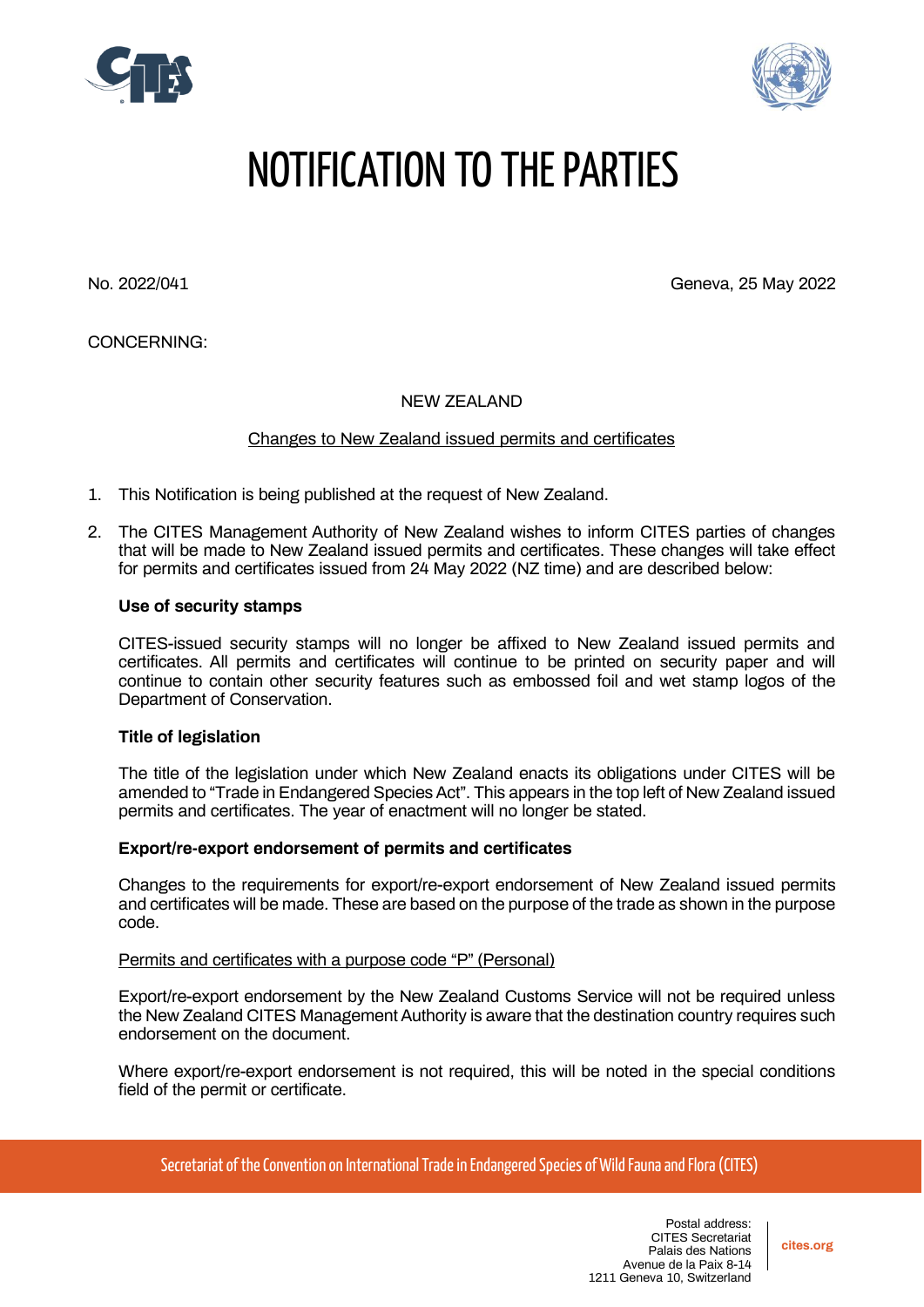



# NOTIFICATION TO THE PARTIES

No. 2022/041 Geneva, 25 May 2022

CONCERNING:

NEW ZEALAND

### Changes to New Zealand issued permits and certificates

- 1. This Notification is being published at the request of New Zealand.
- 2. The CITES Management Authority of New Zealand wishes to inform CITES parties of changes that will be made to New Zealand issued permits and certificates. These changes will take effect for permits and certificates issued from 24 May 2022 (NZ time) and are described below:

### **Use of security stamps**

CITES-issued security stamps will no longer be affixed to New Zealand issued permits and certificates. All permits and certificates will continue to be printed on security paper and will continue to contain other security features such as embossed foil and wet stamp logos of the Department of Conservation.

### **Title of legislation**

The title of the legislation under which New Zealand enacts its obligations under CITES will be amended to "Trade in Endangered Species Act". This appears in the top left of New Zealand issued permits and certificates. The year of enactment will no longer be stated.

### **Export/re-export endorsement of permits and certificates**

Changes to the requirements for export/re-export endorsement of New Zealand issued permits and certificates will be made. These are based on the purpose of the trade as shown in the purpose code.

## Permits and certificates with a purpose code "P" (Personal)

Export/re-export endorsement by the New Zealand Customs Service will not be required unless the New Zealand CITES Management Authority is aware that the destination country requires such endorsement on the document.

Where export/re-export endorsement is not required, this will be noted in the special conditions field of the permit or certificate.

Secretariat of the Convention on International Trade in Endangered Species of Wild Fauna and Flora (CITES)

**cites.org**